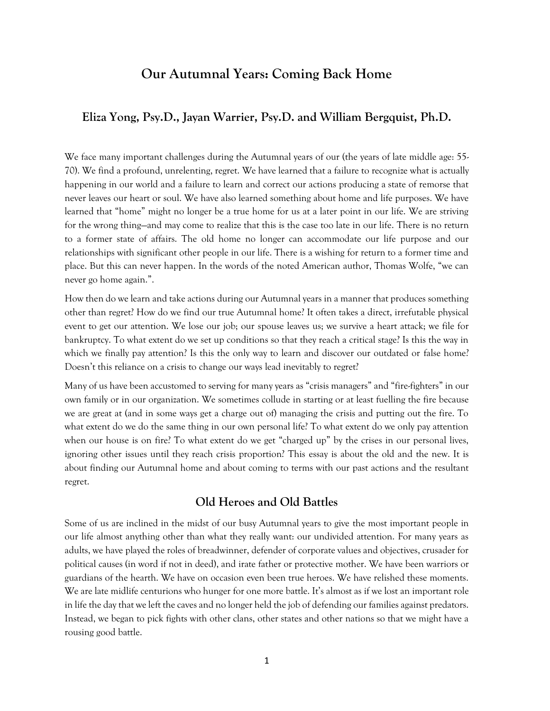# **Our Autumnal Years: Coming Back Home**

### **Eliza Yong, Psy.D., Jayan Warrier, Psy.D. and William Bergquist, Ph.D.**

We face many important challenges during the Autumnal years of our (the years of late middle age: 55-70). We find a profound, unrelenting, regret. We have learned that a failure to recognize what is actually happening in our world and a failure to learn and correct our actions producing a state of remorse that never leaves our heart or soul. We have also learned something about home and life purposes. We have learned that "home" might no longer be a true home for us at a later point in our life. We are striving for the wrong thing—and may come to realize that this is the case too late in our life. There is no return to a former state of affairs. The old home no longer can accommodate our life purpose and our relationships with significant other people in our life. There is a wishing for return to a former time and place. But this can never happen. In the words of the noted American author, Thomas Wolfe, "we can never go home again.".

How then do we learn and take actions during our Autumnal years in a manner that produces something other than regret? How do we find our true Autumnal home? It often takes a direct, irrefutable physical event to get our attention. We lose our job; our spouse leaves us; we survive a heart attack; we file for bankruptcy. To what extent do we set up conditions so that they reach a critical stage? Is this the way in which we finally pay attention? Is this the only way to learn and discover our outdated or false home? Doesn't this reliance on a crisis to change our ways lead inevitably to regret?

Many of us have been accustomed to serving for many years as "crisis managers" and "fire-fighters" in our own family or in our organization. We sometimes collude in starting or at least fuelling the fire because we are great at (and in some ways get a charge out of) managing the crisis and putting out the fire. To what extent do we do the same thing in our own personal life? To what extent do we only pay attention when our house is on fire? To what extent do we get "charged up" by the crises in our personal lives, ignoring other issues until they reach crisis proportion? This essay is about the old and the new. It is about finding our Autumnal home and about coming to terms with our past actions and the resultant regret.

#### **Old Heroes and Old Battles**

Some of us are inclined in the midst of our busy Autumnal years to give the most important people in our life almost anything other than what they really want: our undivided attention. For many years as adults, we have played the roles of breadwinner, defender of corporate values and objectives, crusader for political causes (in word if not in deed), and irate father or protective mother. We have been warriors or guardians of the hearth. We have on occasion even been true heroes. We have relished these moments. We are late midlife centurions who hunger for one more battle. It's almost as if we lost an important role in life the day that we left the caves and no longer held the job of defending our families against predators. Instead, we began to pick fights with other clans, other states and other nations so that we might have a rousing good battle.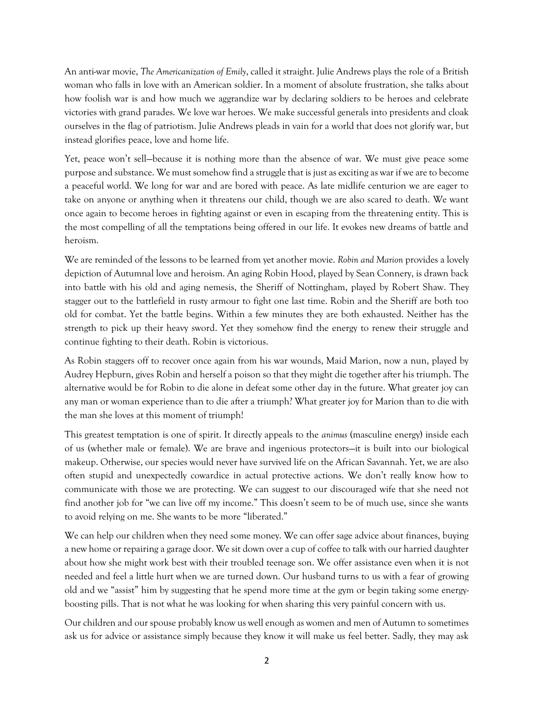An anti-war movie, *The Americanization of Emily*, called it straight. Julie Andrews plays the role of a British woman who falls in love with an American soldier. In a moment of absolute frustration, she talks about how foolish war is and how much we aggrandize war by declaring soldiers to be heroes and celebrate victories with grand parades. We love war heroes. We make successful generals into presidents and cloak ourselves in the flag of patriotism. Julie Andrews pleads in vain for a world that does not glorify war, but instead glorifies peace, love and home life.

Yet, peace won't sell—because it is nothing more than the absence of war. We must give peace some purpose and substance. We must somehow find a struggle that is just as exciting as war if we are to become a peaceful world. We long for war and are bored with peace. As late midlife centurion we are eager to take on anyone or anything when it threatens our child, though we are also scared to death. We want once again to become heroes in fighting against or even in escaping from the threatening entity. This is the most compelling of all the temptations being offered in our life. It evokes new dreams of battle and heroism.

We are reminded of the lessons to be learned from yet another movie. *Robin and Marion* provides a lovely depiction of Autumnal love and heroism. An aging Robin Hood, played by Sean Connery, is drawn back into battle with his old and aging nemesis, the Sheriff of Nottingham, played by Robert Shaw. They stagger out to the battlefield in rusty armour to fight one last time. Robin and the Sheriff are both too old for combat. Yet the battle begins. Within a few minutes they are both exhausted. Neither has the strength to pick up their heavy sword. Yet they somehow find the energy to renew their struggle and continue fighting to their death. Robin is victorious.

As Robin staggers off to recover once again from his war wounds, Maid Marion, now a nun, played by Audrey Hepburn, gives Robin and herself a poison so that they might die together after his triumph. The alternative would be for Robin to die alone in defeat some other day in the future. What greater joy can any man or woman experience than to die after a triumph? What greater joy for Marion than to die with the man she loves at this moment of triumph!

This greatest temptation is one of spirit. It directly appeals to the *animus* (masculine energy) inside each of us (whether male or female). We are brave and ingenious protectors—it is built into our biological makeup. Otherwise, our species would never have survived life on the African Savannah. Yet, we are also often stupid and unexpectedly cowardice in actual protective actions. We don't really know how to communicate with those we are protecting. We can suggest to our discouraged wife that she need not find another job for "we can live off my income." This doesn't seem to be of much use, since she wants to avoid relying on me. She wants to be more "liberated."

We can help our children when they need some money. We can offer sage advice about finances, buying a new home or repairing a garage door. We sit down over a cup of coffee to talk with our harried daughter about how she might work best with their troubled teenage son. We offer assistance even when it is not needed and feel a little hurt when we are turned down. Our husband turns to us with a fear of growing old and we "assist" him by suggesting that he spend more time at the gym or begin taking some energyboosting pills. That is not what he was looking for when sharing this very painful concern with us.

Our children and our spouse probably know us well enough as women and men of Autumn to sometimes ask us for advice or assistance simply because they know it will make us feel better. Sadly, they may ask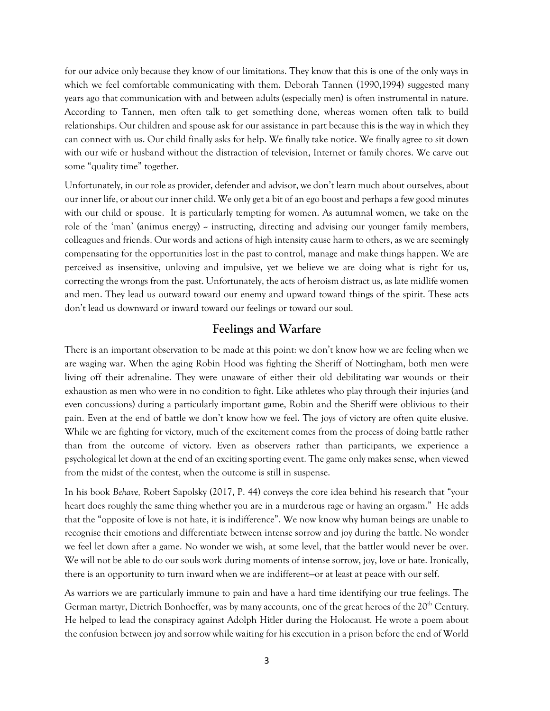for our advice only because they know of our limitations. They know that this is one of the only ways in which we feel comfortable communicating with them. Deborah Tannen (1990,1994) suggested many years ago that communication with and between adults (especially men) is often instrumental in nature. According to Tannen, men often talk to get something done, whereas women often talk to build relationships. Our children and spouse ask for our assistance in part because this is the way in which they can connect with us. Our child finally asks for help. We finally take notice. We finally agree to sit down with our wife or husband without the distraction of television, Internet or family chores. We carve out some "quality time" together.

Unfortunately, in our role as provider, defender and advisor, we don't learn much about ourselves, about our inner life, or about our inner child. We only get a bit of an ego boost and perhaps a few good minutes with our child or spouse. It is particularly tempting for women. As autumnal women, we take on the role of the 'man' (animus energy) -- instructing, directing and advising our younger family members, colleagues and friends. Our words and actions of high intensity cause harm to others, as we are seemingly compensating for the opportunities lost in the past to control, manage and make things happen. We are perceived as insensitive, unloving and impulsive, yet we believe we are doing what is right for us, correcting the wrongs from the past. Unfortunately, the acts of heroism distract us, as late midlife women and men. They lead us outward toward our enemy and upward toward things of the spirit. These acts don't lead us downward or inward toward our feelings or toward our soul.

## **Feelings and Warfare**

There is an important observation to be made at this point: we don't know how we are feeling when we are waging war. When the aging Robin Hood was fighting the Sheriff of Nottingham, both men were living off their adrenaline. They were unaware of either their old debilitating war wounds or their exhaustion as men who were in no condition to fight. Like athletes who play through their injuries (and even concussions) during a particularly important game, Robin and the Sheriff were oblivious to their pain. Even at the end of battle we don't know how we feel. The joys of victory are often quite elusive. While we are fighting for victory, much of the excitement comes from the process of doing battle rather than from the outcome of victory. Even as observers rather than participants, we experience a psychological let down at the end of an exciting sporting event. The game only makes sense, when viewed from the midst of the contest, when the outcome is still in suspense.

In his book *Behave,* Robert Sapolsky (2017, P. 44) conveys the core idea behind his research that "your heart does roughly the same thing whether you are in a murderous rage or having an orgasm." He adds that the "opposite of love is not hate, it is indifference". We now know why human beings are unable to recognise their emotions and differentiate between intense sorrow and joy during the battle. No wonder we feel let down after a game. No wonder we wish, at some level, that the battler would never be over. We will not be able to do our souls work during moments of intense sorrow, joy, love or hate. Ironically, there is an opportunity to turn inward when we are indifferent—or at least at peace with our self.

As warriors we are particularly immune to pain and have a hard time identifying our true feelings. The German martyr, Dietrich Bonhoeffer, was by many accounts, one of the great heroes of the 20<sup>th</sup> Century. He helped to lead the conspiracy against Adolph Hitler during the Holocaust. He wrote a poem about the confusion between joy and sorrow while waiting for his execution in a prison before the end of World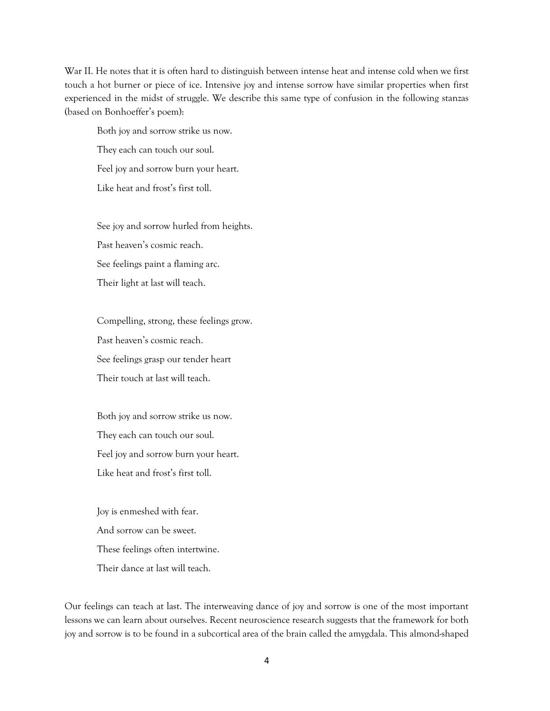War II. He notes that it is often hard to distinguish between intense heat and intense cold when we first touch a hot burner or piece of ice. Intensive joy and intense sorrow have similar properties when first experienced in the midst of struggle. We describe this same type of confusion in the following stanzas (based on Bonhoeffer's poem):

Both joy and sorrow strike us now. They each can touch our soul. Feel joy and sorrow burn your heart. Like heat and frost's first toll.

See joy and sorrow hurled from heights.

Past heaven's cosmic reach.

See feelings paint a flaming arc.

Their light at last will teach.

Compelling, strong, these feelings grow. Past heaven's cosmic reach. See feelings grasp our tender heart Their touch at last will teach.

Both joy and sorrow strike us now. They each can touch our soul. Feel joy and sorrow burn your heart. Like heat and frost's first toll.

Joy is enmeshed with fear. And sorrow can be sweet. These feelings often intertwine. Their dance at last will teach.

Our feelings can teach at last. The interweaving dance of joy and sorrow is one of the most important lessons we can learn about ourselves. Recent neuroscience research suggests that the framework for both joy and sorrow is to be found in a subcortical area of the brain called the amygdala. This almond-shaped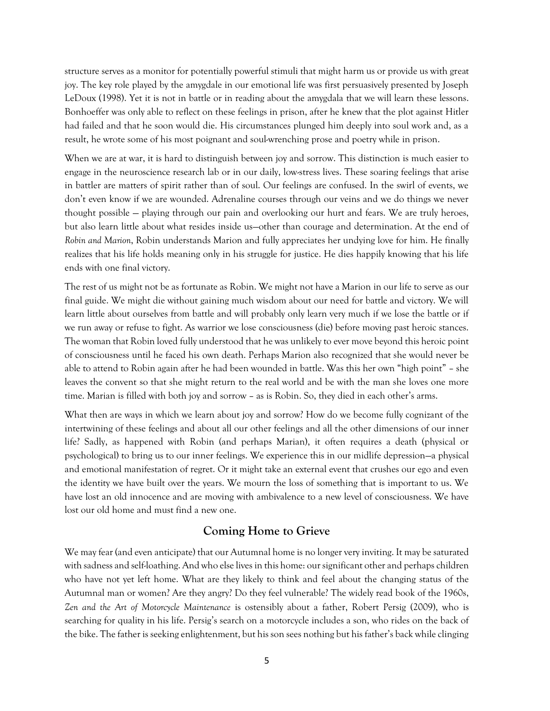structure serves as a monitor for potentially powerful stimuli that might harm us or provide us with great joy. The key role played by the amygdale in our emotional life was first persuasively presented by Joseph LeDoux (1998). Yet it is not in battle or in reading about the amygdala that we will learn these lessons. Bonhoeffer was only able to reflect on these feelings in prison, after he knew that the plot against Hitler had failed and that he soon would die. His circumstances plunged him deeply into soul work and, as a result, he wrote some of his most poignant and soul-wrenching prose and poetry while in prison.

When we are at war, it is hard to distinguish between joy and sorrow. This distinction is much easier to engage in the neuroscience research lab or in our daily, low-stress lives. These soaring feelings that arise in battler are matters of spirit rather than of soul. Our feelings are confused. In the swirl of events, we don't even know if we are wounded. Adrenaline courses through our veins and we do things we never thought possible — playing through our pain and overlooking our hurt and fears. We are truly heroes, but also learn little about what resides inside us—other than courage and determination. At the end of *Robin and Marion*, Robin understands Marion and fully appreciates her undying love for him. He finally realizes that his life holds meaning only in his struggle for justice. He dies happily knowing that his life ends with one final victory.

The rest of us might not be as fortunate as Robin. We might not have a Marion in our life to serve as our final guide. We might die without gaining much wisdom about our need for battle and victory. We will learn little about ourselves from battle and will probably only learn very much if we lose the battle or if we run away or refuse to fight. As warrior we lose consciousness (die) before moving past heroic stances. The woman that Robin loved fully understood that he was unlikely to ever move beyond this heroic point of consciousness until he faced his own death. Perhaps Marion also recognized that she would never be able to attend to Robin again after he had been wounded in battle. Was this her own "high point" – she leaves the convent so that she might return to the real world and be with the man she loves one more time. Marian is filled with both joy and sorrow – as is Robin. So, they died in each other's arms.

What then are ways in which we learn about joy and sorrow? How do we become fully cognizant of the intertwining of these feelings and about all our other feelings and all the other dimensions of our inner life? Sadly, as happened with Robin (and perhaps Marian), it often requires a death (physical or psychological) to bring us to our inner feelings. We experience this in our midlife depression—a physical and emotional manifestation of regret. Or it might take an external event that crushes our ego and even the identity we have built over the years. We mourn the loss of something that is important to us. We have lost an old innocence and are moving with ambivalence to a new level of consciousness. We have lost our old home and must find a new one.

### **Coming Home to Grieve**

We may fear (and even anticipate) that our Autumnal home is no longer very inviting. It may be saturated with sadness and self-loathing. And who else lives in this home: our significant other and perhaps children who have not yet left home. What are they likely to think and feel about the changing status of the Autumnal man or women? Are they angry? Do they feel vulnerable? The widely read book of the 1960s, *Zen and the Art of Motorcycle Maintenance* is ostensibly about a father, Robert Persig (2009), who is searching for quality in his life. Persig's search on a motorcycle includes a son, who rides on the back of the bike. The father is seeking enlightenment, but his son sees nothing but his father's back while clinging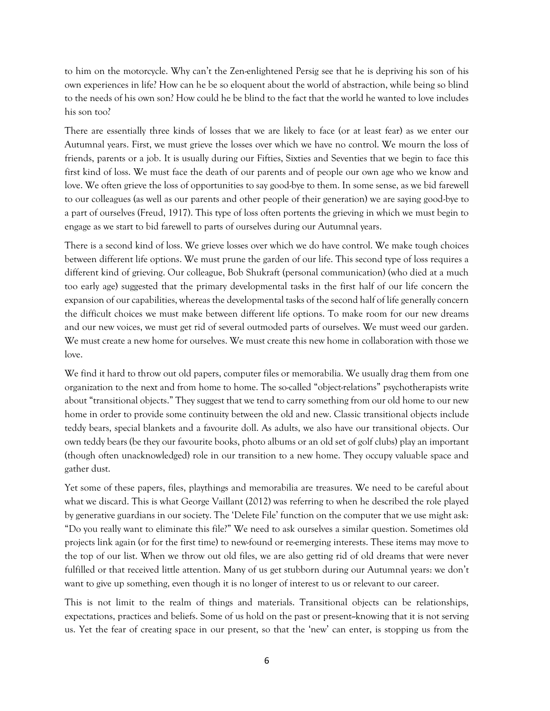to him on the motorcycle. Why can't the Zen-enlightened Persig see that he is depriving his son of his own experiences in life? How can he be so eloquent about the world of abstraction, while being so blind to the needs of his own son? How could he be blind to the fact that the world he wanted to love includes his son too?

There are essentially three kinds of losses that we are likely to face (or at least fear) as we enter our Autumnal years. First, we must grieve the losses over which we have no control. We mourn the loss of friends, parents or a job. It is usually during our Fifties, Sixties and Seventies that we begin to face this first kind of loss. We must face the death of our parents and of people our own age who we know and love. We often grieve the loss of opportunities to say good-bye to them. In some sense, as we bid farewell to our colleagues (as well as our parents and other people of their generation) we are saying good-bye to a part of ourselves (Freud, 1917). This type of loss often portents the grieving in which we must begin to engage as we start to bid farewell to parts of ourselves during our Autumnal years.

There is a second kind of loss. We grieve losses over which we do have control. We make tough choices between different life options. We must prune the garden of our life. This second type of loss requires a different kind of grieving. Our colleague, Bob Shukraft (personal communication) (who died at a much too early age) suggested that the primary developmental tasks in the first half of our life concern the expansion of our capabilities, whereas the developmental tasks of the second half of life generally concern the difficult choices we must make between different life options. To make room for our new dreams and our new voices, we must get rid of several outmoded parts of ourselves. We must weed our garden. We must create a new home for ourselves. We must create this new home in collaboration with those we love.

We find it hard to throw out old papers, computer files or memorabilia. We usually drag them from one organization to the next and from home to home. The so-called "object-relations" psychotherapists write about "transitional objects." They suggest that we tend to carry something from our old home to our new home in order to provide some continuity between the old and new. Classic transitional objects include teddy bears, special blankets and a favourite doll. As adults, we also have our transitional objects. Our own teddy bears (be they our favourite books, photo albums or an old set of golf clubs) play an important (though often unacknowledged) role in our transition to a new home. They occupy valuable space and gather dust.

Yet some of these papers, files, playthings and memorabilia are treasures. We need to be careful about what we discard. This is what George Vaillant (2012) was referring to when he described the role played by generative guardians in our society. The 'Delete File' function on the computer that we use might ask: "Do you really want to eliminate this file?" We need to ask ourselves a similar question. Sometimes old projects link again (or for the first time) to new-found or re-emerging interests. These items may move to the top of our list. When we throw out old files, we are also getting rid of old dreams that were never fulfilled or that received little attention. Many of us get stubborn during our Autumnal years: we don't want to give up something, even though it is no longer of interest to us or relevant to our career.

This is not limit to the realm of things and materials. Transitional objects can be relationships, expectations, practices and beliefs. Some of us hold on the past or present--knowing that it is not serving us. Yet the fear of creating space in our present, so that the 'new' can enter, is stopping us from the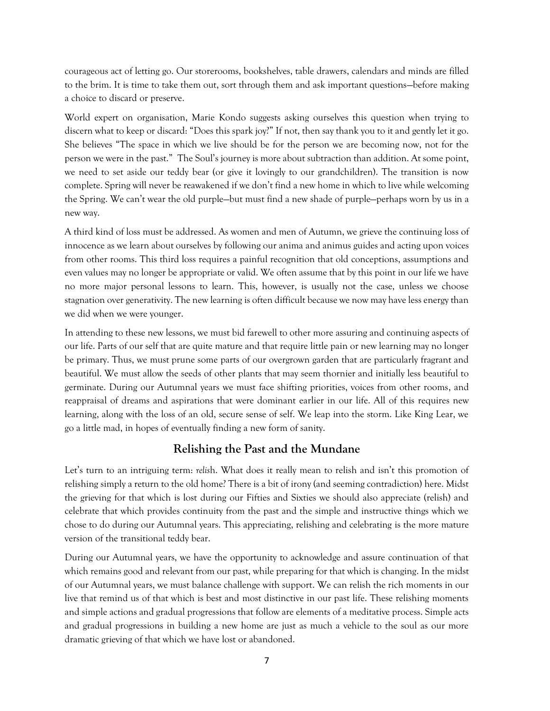courageous act of letting go. Our storerooms, bookshelves, table drawers, calendars and minds are filled to the brim. It is time to take them out, sort through them and ask important questions—before making a choice to discard or preserve.

World expert on organisation, Marie Kondo suggests asking ourselves this question when trying to discern what to keep or discard: "Does this spark joy?" If not, then say thank you to it and gently let it go. She believes "The space in which we live should be for the person we are becoming now, not for the person we were in the past." The Soul's journey is more about subtraction than addition. At some point, we need to set aside our teddy bear (or give it lovingly to our grandchildren). The transition is now complete. Spring will never be reawakened if we don't find a new home in which to live while welcoming the Spring. We can't wear the old purple—but must find a new shade of purple—perhaps worn by us in a new way.

A third kind of loss must be addressed. As women and men of Autumn, we grieve the continuing loss of innocence as we learn about ourselves by following our anima and animus guides and acting upon voices from other rooms. This third loss requires a painful recognition that old conceptions, assumptions and even values may no longer be appropriate or valid. We often assume that by this point in our life we have no more major personal lessons to learn. This, however, is usually not the case, unless we choose stagnation over generativity. The new learning is often difficult because we now may have less energy than we did when we were younger.

In attending to these new lessons, we must bid farewell to other more assuring and continuing aspects of our life. Parts of our self that are quite mature and that require little pain or new learning may no longer be primary. Thus, we must prune some parts of our overgrown garden that are particularly fragrant and beautiful. We must allow the seeds of other plants that may seem thornier and initially less beautiful to germinate. During our Autumnal years we must face shifting priorities, voices from other rooms, and reappraisal of dreams and aspirations that were dominant earlier in our life. All of this requires new learning, along with the loss of an old, secure sense of self. We leap into the storm. Like King Lear, we go a little mad, in hopes of eventually finding a new form of sanity.

# **Relishing the Past and the Mundane**

Let's turn to an intriguing term: *relis*h. What does it really mean to relish and isn't this promotion of relishing simply a return to the old home? There is a bit of irony (and seeming contradiction) here. Midst the grieving for that which is lost during our Fifties and Sixties we should also appreciate (relish) and celebrate that which provides continuity from the past and the simple and instructive things which we chose to do during our Autumnal years. This appreciating, relishing and celebrating is the more mature version of the transitional teddy bear.

During our Autumnal years, we have the opportunity to acknowledge and assure continuation of that which remains good and relevant from our past, while preparing for that which is changing. In the midst of our Autumnal years, we must balance challenge with support. We can relish the rich moments in our live that remind us of that which is best and most distinctive in our past life. These relishing moments and simple actions and gradual progressions that follow are elements of a meditative process. Simple acts and gradual progressions in building a new home are just as much a vehicle to the soul as our more dramatic grieving of that which we have lost or abandoned.